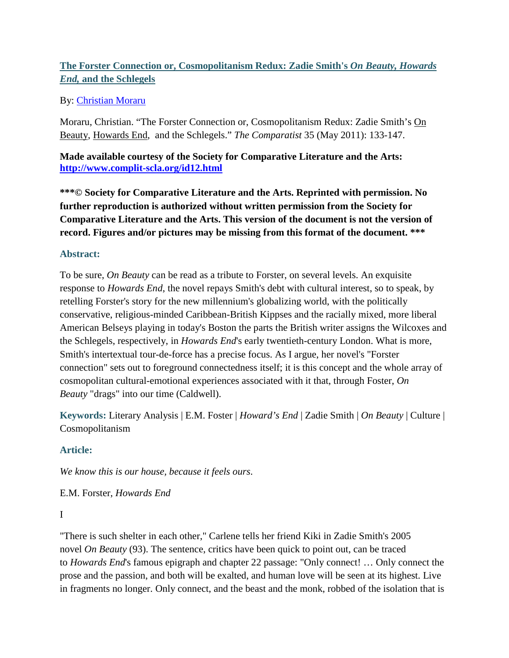# **The Forster Connection or, Cosmopolitanism Redux: Zadie Smith's** *On Beauty, Howards End,* **and the Schlegels**

## By: [Christian Moraru](https://libres.uncg.edu/ir/uncg/clist.aspx?id=201)

Moraru, Christian. "The Forster Connection or, Cosmopolitanism Redux: Zadie Smith's On Beauty, Howards End, and the Schlegels." *The Comparatist* 35 (May 2011): 133-147.

**Made available courtesy of the Society for Comparative Literature and the Arts: <http://www.complit-scla.org/id12.html>**

**\*\*\*© Society for Comparative Literature and the Arts. Reprinted with permission. No further reproduction is authorized without written permission from the Society for Comparative Literature and the Arts. This version of the document is not the version of record. Figures and/or pictures may be missing from this format of the document. \*\*\***

## **Abstract:**

To be sure, *On Beauty* can be read as a tribute to Forster, on several levels. An exquisite response to *Howards End*, the novel repays Smith's debt with cultural interest, so to speak, by retelling Forster's story for the new millennium's globalizing world, with the politically conservative, religious-minded Caribbean-British Kippses and the racially mixed, more liberal American Belseys playing in today's Boston the parts the British writer assigns the Wilcoxes and the Schlegels, respectively, in *Howards End*'s early twentieth-century London. What is more, Smith's intertextual tour-de-force has a precise focus. As I argue, her novel's "Forster connection" sets out to foreground connectedness itself; it is this concept and the whole array of cosmopolitan cultural-emotional experiences associated with it that, through Foster, *On Beauty* "drags" into our time (Caldwell).

**Keywords:** Literary Analysis | E.M. Foster | *Howard's End* | Zadie Smith | *On Beauty* | Culture | Cosmopolitanism

## **Article:**

*We know this is our house, because it feels ours*.

E.M. Forster, *Howards End*

#### I

"There is such shelter in each other," Carlene tells her friend Kiki in Zadie Smith's 2005 novel *On Beauty* (93). The sentence, critics have been quick to point out, can be traced to *Howards End*'s famous epigraph and chapter 22 passage: "Only connect! … Only connect the prose and the passion, and both will be exalted, and human love will be seen at its highest. Live in fragments no longer. Only connect, and the beast and the monk, robbed of the isolation that is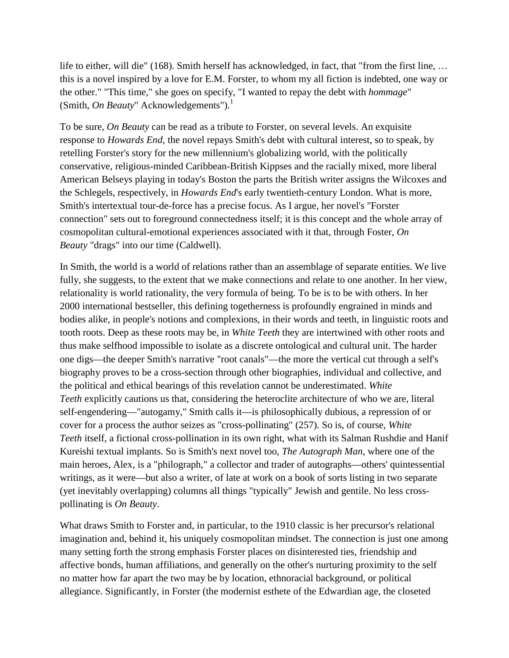life to either, will die" (168). Smith herself has acknowledged, in fact, that "from the first line, … this is a novel inspired by a love for E.M. Forster, to whom my all fiction is indebted, one way or the other." "This time," she goes on specify, "I wanted to repay the debt with *hommage*" (Smith, *On Beauty*" Acknowledgements").<sup>1</sup>

To be sure, *On Beauty* can be read as a tribute to Forster, on several levels. An exquisite response to *Howards End*, the novel repays Smith's debt with cultural interest, so to speak, by retelling Forster's story for the new millennium's globalizing world, with the politically conservative, religious-minded Caribbean-British Kippses and the racially mixed, more liberal American Belseys playing in today's Boston the parts the British writer assigns the Wilcoxes and the Schlegels, respectively, in *Howards End*'s early twentieth-century London. What is more, Smith's intertextual tour-de-force has a precise focus. As I argue, her novel's "Forster connection" sets out to foreground connectedness itself; it is this concept and the whole array of cosmopolitan cultural-emotional experiences associated with it that, through Foster, *On Beauty* "drags" into our time (Caldwell).

In Smith, the world is a world of relations rather than an assemblage of separate entities. We live fully, she suggests, to the extent that we make connections and relate to one another. In her view, relationality is world rationality, the very formula of being. To be is to be with others. In her 2000 international bestseller, this defining togetherness is profoundly engrained in minds and bodies alike, in people's notions and complexions, in their words and teeth, in linguistic roots and tooth roots. Deep as these roots may be, in *White Teeth* they are intertwined with other roots and thus make selfhood impossible to isolate as a discrete ontological and cultural unit. The harder one digs—the deeper Smith's narrative "root canals"—the more the vertical cut through a self's biography proves to be a cross-section through other biographies, individual and collective, and the political and ethical bearings of this revelation cannot be underestimated. *White Teeth* explicitly cautions us that, considering the heteroclite architecture of who we are, literal self-engendering—"autogamy," Smith calls it—is philosophically dubious, a repression of or cover for a process the author seizes as "cross-pollinating" (257). So is, of course, *White Teeth* itself, a fictional cross-pollination in its own right, what with its Salman Rushdie and Hanif Kureishi textual implants. So is Smith's next novel too, *The Autograph Man*, where one of the main heroes, Alex, is a "philograph," a collector and trader of autographs—others' quintessential writings, as it were—but also a writer, of late at work on a book of sorts listing in two separate (yet inevitably overlapping) columns all things "typically" Jewish and gentile. No less crosspollinating is *On Beauty*.

What draws Smith to Forster and, in particular, to the 1910 classic is her precursor's relational imagination and, behind it, his uniquely cosmopolitan mindset. The connection is just one among many setting forth the strong emphasis Forster places on disinterested ties, friendship and affective bonds, human affiliations, and generally on the other's nurturing proximity to the self no matter how far apart the two may be by location, ethnoracial background, or political allegiance. Significantly, in Forster (the modernist esthete of the Edwardian age, the closeted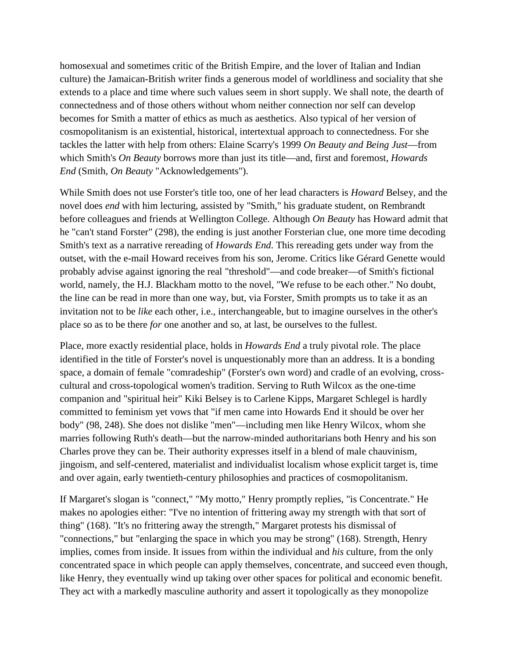homosexual and sometimes critic of the British Empire, and the lover of Italian and Indian culture) the Jamaican-British writer finds a generous model of worldliness and sociality that she extends to a place and time where such values seem in short supply. We shall note, the dearth of connectedness and of those others without whom neither connection nor self can develop becomes for Smith a matter of ethics as much as aesthetics. Also typical of her version of cosmopolitanism is an existential, historical, intertextual approach to connectedness. For she tackles the latter with help from others: Elaine Scarry's 1999 *On Beauty and Being Just*—from which Smith's *On Beauty* borrows more than just its title—and, first and foremost, *Howards End* (Smith, *On Beauty* "Acknowledgements").

While Smith does not use Forster's title too, one of her lead characters is *Howard* Belsey, and the novel does *end* with him lecturing, assisted by "Smith," his graduate student, on Rembrandt before colleagues and friends at Wellington College. Although *On Beauty* has Howard admit that he "can't stand Forster" (298), the ending is just another Forsterian clue, one more time decoding Smith's text as a narrative rereading of *Howards End*. This rereading gets under way from the outset, with the e-mail Howard receives from his son, Jerome. Critics like Gérard Genette would probably advise against ignoring the real "threshold"—and code breaker—of Smith's fictional world, namely, the H.J. Blackham motto to the novel, "We refuse to be each other." No doubt, the line can be read in more than one way, but, via Forster, Smith prompts us to take it as an invitation not to be *like* each other, i.e., interchangeable, but to imagine ourselves in the other's place so as to be there *for* one another and so, at last, be ourselves to the fullest.

Place, more exactly residential place, holds in *Howards End* a truly pivotal role. The place identified in the title of Forster's novel is unquestionably more than an address. It is a bonding space, a domain of female "comradeship" (Forster's own word) and cradle of an evolving, crosscultural and cross-topological women's tradition. Serving to Ruth Wilcox as the one-time companion and "spiritual heir" Kiki Belsey is to Carlene Kipps, Margaret Schlegel is hardly committed to feminism yet vows that "if men came into Howards End it should be over her body" (98, 248). She does not dislike "men"—including men like Henry Wilcox, whom she marries following Ruth's death—but the narrow-minded authoritarians both Henry and his son Charles prove they can be. Their authority expresses itself in a blend of male chauvinism, jingoism, and self-centered, materialist and individualist localism whose explicit target is, time and over again, early twentieth-century philosophies and practices of cosmopolitanism.

If Margaret's slogan is "connect," "My motto," Henry promptly replies, "is Concentrate." He makes no apologies either: "I've no intention of frittering away my strength with that sort of thing" (168). "It's no frittering away the strength," Margaret protests his dismissal of "connections," but "enlarging the space in which you may be strong" (168). Strength, Henry implies, comes from inside. It issues from within the individual and *his* culture, from the only concentrated space in which people can apply themselves, concentrate, and succeed even though, like Henry, they eventually wind up taking over other spaces for political and economic benefit. They act with a markedly masculine authority and assert it topologically as they monopolize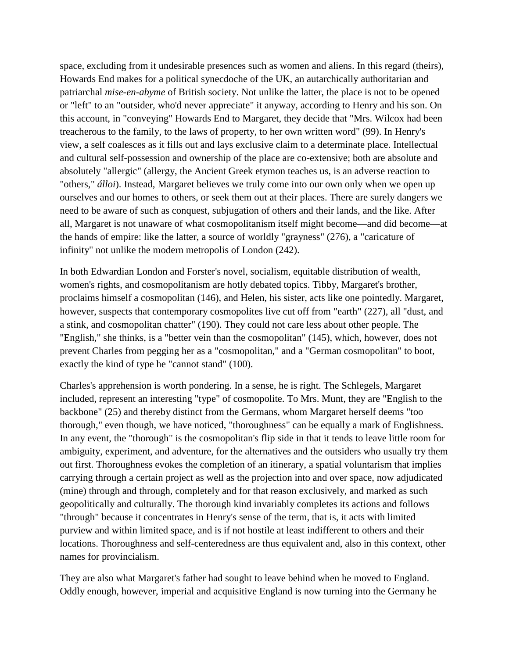space, excluding from it undesirable presences such as women and aliens. In this regard (theirs), Howards End makes for a political synecdoche of the UK, an autarchically authoritarian and patriarchal *mise-en-abyme* of British society. Not unlike the latter, the place is not to be opened or "left" to an "outsider, who'd never appreciate" it anyway, according to Henry and his son. On this account, in "conveying" Howards End to Margaret, they decide that "Mrs. Wilcox had been treacherous to the family, to the laws of property, to her own written word" (99). In Henry's view, a self coalesces as it fills out and lays exclusive claim to a determinate place. Intellectual and cultural self-possession and ownership of the place are co-extensive; both are absolute and absolutely "allergic" (allergy, the Ancient Greek etymon teaches us, is an adverse reaction to "others," *álloi*). Instead, Margaret believes we truly come into our own only when we open up ourselves and our homes to others, or seek them out at their places. There are surely dangers we need to be aware of such as conquest, subjugation of others and their lands, and the like. After all, Margaret is not unaware of what cosmopolitanism itself might become—and did become—at the hands of empire: like the latter, a source of worldly "grayness" (276), a "caricature of infinity" not unlike the modern metropolis of London (242).

In both Edwardian London and Forster's novel, socialism, equitable distribution of wealth, women's rights, and cosmopolitanism are hotly debated topics. Tibby, Margaret's brother, proclaims himself a cosmopolitan (146), and Helen, his sister, acts like one pointedly. Margaret, however, suspects that contemporary cosmopolites live cut off from "earth" (227), all "dust, and a stink, and cosmopolitan chatter" (190). They could not care less about other people. The "English," she thinks, is a "better vein than the cosmopolitan" (145), which, however, does not prevent Charles from pegging her as a "cosmopolitan," and a "German cosmopolitan" to boot, exactly the kind of type he "cannot stand" (100).

Charles's apprehension is worth pondering. In a sense, he is right. The Schlegels, Margaret included, represent an interesting "type" of cosmopolite. To Mrs. Munt, they are "English to the backbone" (25) and thereby distinct from the Germans, whom Margaret herself deems "too thorough," even though, we have noticed, "thoroughness" can be equally a mark of Englishness. In any event, the "thorough" is the cosmopolitan's flip side in that it tends to leave little room for ambiguity, experiment, and adventure, for the alternatives and the outsiders who usually try them out first. Thoroughness evokes the completion of an itinerary, a spatial voluntarism that implies carrying through a certain project as well as the projection into and over space, now adjudicated (mine) through and through, completely and for that reason exclusively, and marked as such geopolitically and culturally. The thorough kind invariably completes its actions and follows "through" because it concentrates in Henry's sense of the term, that is, it acts with limited purview and within limited space, and is if not hostile at least indifferent to others and their locations. Thoroughness and self-centeredness are thus equivalent and, also in this context, other names for provincialism.

They are also what Margaret's father had sought to leave behind when he moved to England. Oddly enough, however, imperial and acquisitive England is now turning into the Germany he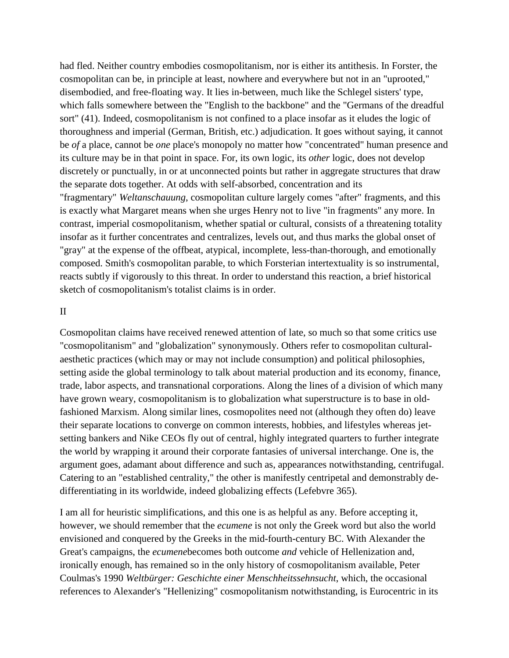had fled. Neither country embodies cosmopolitanism, nor is either its antithesis. In Forster, the cosmopolitan can be, in principle at least, nowhere and everywhere but not in an "uprooted," disembodied, and free-floating way. It lies in-between, much like the Schlegel sisters' type, which falls somewhere between the "English to the backbone" and the "Germans of the dreadful sort" (41). Indeed, cosmopolitanism is not confined to a place insofar as it eludes the logic of thoroughness and imperial (German, British, etc.) adjudication. It goes without saying, it cannot be *of* a place, cannot be *one* place's monopoly no matter how "concentrated" human presence and its culture may be in that point in space. For, its own logic, its *other* logic, does not develop discretely or punctually, in or at unconnected points but rather in aggregate structures that draw the separate dots together. At odds with self-absorbed, concentration and its "fragmentary" *Weltanschauung*, cosmopolitan culture largely comes "after" fragments, and this is exactly what Margaret means when she urges Henry not to live "in fragments" any more. In contrast, imperial cosmopolitanism, whether spatial or cultural, consists of a threatening totality insofar as it further concentrates and centralizes, levels out, and thus marks the global onset of "gray" at the expense of the offbeat, atypical, incomplete, less-than-thorough, and emotionally composed. Smith's cosmopolitan parable, to which Forsterian intertextuality is so instrumental, reacts subtly if vigorously to this threat. In order to understand this reaction, a brief historical sketch of cosmopolitanism's totalist claims is in order.

#### II

Cosmopolitan claims have received renewed attention of late, so much so that some critics use "cosmopolitanism" and "globalization" synonymously. Others refer to cosmopolitan culturalaesthetic practices (which may or may not include consumption) and political philosophies, setting aside the global terminology to talk about material production and its economy, finance, trade, labor aspects, and transnational corporations. Along the lines of a division of which many have grown weary, cosmopolitanism is to globalization what superstructure is to base in oldfashioned Marxism. Along similar lines, cosmopolites need not (although they often do) leave their separate locations to converge on common interests, hobbies, and lifestyles whereas jetsetting bankers and Nike CEOs fly out of central, highly integrated quarters to further integrate the world by wrapping it around their corporate fantasies of universal interchange. One is, the argument goes, adamant about difference and such as, appearances notwithstanding, centrifugal. Catering to an "established centrality," the other is manifestly centripetal and demonstrably dedifferentiating in its worldwide, indeed globalizing effects (Lefebvre 365).

I am all for heuristic simplifications, and this one is as helpful as any. Before accepting it, however, we should remember that the *ecumene* is not only the Greek word but also the world envisioned and conquered by the Greeks in the mid-fourth-century BC. With Alexander the Great's campaigns, the *ecumene*becomes both outcome *and* vehicle of Hellenization and, ironically enough, has remained so in the only history of cosmopolitanism available, Peter Coulmas's 1990 *Weltbürger: Geschichte einer Menschheitssehnsucht*, which, the occasional references to Alexander's "Hellenizing" cosmopolitanism notwithstanding, is Eurocentric in its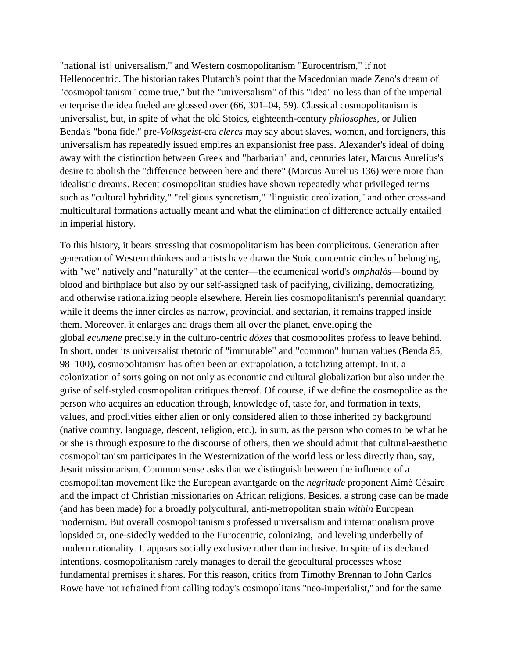"national[ist] universalism," and Western cosmopolitanism "Eurocentrism," if not Hellenocentric. The historian takes Plutarch's point that the Macedonian made Zeno's dream of "cosmopolitanism" come true," but the "universalism" of this "idea" no less than of the imperial enterprise the idea fueled are glossed over (66, 301–04, 59). Classical cosmopolitanism is universalist, but, in spite of what the old Stoics, eighteenth-century *philosophes*, or Julien Benda's "bona fide," pre-*Volksgeist*-era *clercs* may say about slaves, women, and foreigners, this universalism has repeatedly issued empires an expansionist free pass. Alexander's ideal of doing away with the distinction between Greek and "barbarian" and, centuries later, Marcus Aurelius's desire to abolish the "difference between here and there" (Marcus Aurelius 136) were more than idealistic dreams. Recent cosmopolitan studies have shown repeatedly what privileged terms such as "cultural hybridity," "religious syncretism," "linguistic creolization," and other cross-and multicultural formations actually meant and what the elimination of difference actually entailed in imperial history.

To this history, it bears stressing that cosmopolitanism has been complicitous. Generation after generation of Western thinkers and artists have drawn the Stoic concentric circles of belonging, with "we" natively and "naturally" at the center—the ecumenical world's *omphalós*—bound by blood and birthplace but also by our self-assigned task of pacifying, civilizing, democratizing, and otherwise rationalizing people elsewhere. Herein lies cosmopolitanism's perennial quandary: while it deems the inner circles as narrow, provincial, and sectarian, it remains trapped inside them. Moreover, it enlarges and drags them all over the planet, enveloping the global *ecumene* precisely in the culturo-centric *dóxes* that cosmopolites profess to leave behind. In short, under its universalist rhetoric of "immutable" and "common" human values (Benda 85, 98–100), cosmopolitanism has often been an extrapolation, a totalizing attempt. In it, a colonization of sorts going on not only as economic and cultural globalization but also under the guise of self-styled cosmopolitan critiques thereof. Of course, if we define the cosmopolite as the person who acquires an education through, knowledge of, taste for, and formation in texts, values, and proclivities either alien or only considered alien to those inherited by background (native country, language, descent, religion, etc.), in sum, as the person who comes to be what he or she is through exposure to the discourse of others, then we should admit that cultural-aesthetic cosmopolitanism participates in the Westernization of the world less or less directly than, say, Jesuit missionarism. Common sense asks that we distinguish between the influence of a cosmopolitan movement like the European avantgarde on the *négritude* proponent Aimé Césaire and the impact of Christian missionaries on African religions. Besides, a strong case can be made (and has been made) for a broadly polycultural, anti-metropolitan strain *within* European modernism. But overall cosmopolitanism's professed universalism and internationalism prove lopsided or, one-sidedly wedded to the Eurocentric, colonizing, and leveling underbelly of modern rationality. It appears socially exclusive rather than inclusive. In spite of its declared intentions, cosmopolitanism rarely manages to derail the geocultural processes whose fundamental premises it shares. For this reason, critics from Timothy Brennan to John Carlos Rowe have not refrained from calling today's cosmopolitans "neo-imperialist," and for the same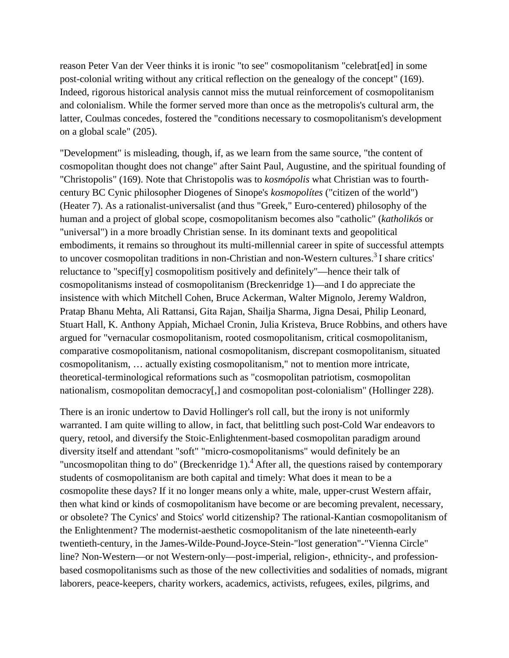reason Peter Van der Veer thinks it is ironic "to see" cosmopolitanism "celebrat[ed] in some post-colonial writing without any critical reflection on the genealogy of the concept" (169). Indeed, rigorous historical analysis cannot miss the mutual reinforcement of cosmopolitanism and colonialism. While the former served more than once as the metropolis's cultural arm, the latter, Coulmas concedes, fostered the "conditions necessary to cosmopolitanism's development on a global scale" (205).

"Development" is misleading, though, if, as we learn from the same source, "the content of cosmopolitan thought does not change" after Saint Paul, Augustine, and the spiritual founding of "Christopolis" (169). Note that Christopolis was to *kosmópolis* what Christian was to fourthcentury BC Cynic philosopher Diogenes of Sinope's *kosmopolítes* ("citizen of the world") (Heater 7). As a rationalist-universalist (and thus "Greek," Euro-centered) philosophy of the human and a project of global scope, cosmopolitanism becomes also "catholic" (*katholikós* or "universal") in a more broadly Christian sense. In its dominant texts and geopolitical embodiments, it remains so throughout its multi-millennial career in spite of successful attempts to uncover cosmopolitan traditions in non-Christian and non-Western cultures.<sup>3</sup> I share critics' reluctance to "specif[y] cosmopolitism positively and definitely"—hence their talk of cosmopolitanism*s* instead of cosmopolitanism (Breckenridge 1)—and I do appreciate the insistence with which Mitchell Cohen, Bruce Ackerman, Walter Mignolo, Jeremy Waldron, Pratap Bhanu Mehta, Ali Rattansi, Gita Rajan, Shailja Sharma, Jigna Desai, Philip Leonard, Stuart Hall, K. Anthony Appiah, Michael Cronin, Julia Kristeva, Bruce Robbins, and others have argued for "vernacular cosmopolitanism, rooted cosmopolitanism, critical cosmopolitanism, comparative cosmopolitanism, national cosmopolitanism, discrepant cosmopolitanism, situated cosmopolitanism, … actually existing cosmopolitanism," not to mention more intricate, theoretical-terminological reformations such as "cosmopolitan patriotism, cosmopolitan nationalism, cosmopolitan democracy[,] and cosmopolitan post-colonialism" (Hollinger 228).

There is an ironic undertow to David Hollinger's roll call, but the irony is not uniformly warranted. I am quite willing to allow, in fact, that belittling such post-Cold War endeavors to query, retool, and diversify the Stoic-Enlightenment-based cosmopolitan paradigm around diversity itself and attendant "soft" "micro-cosmopolitanisms" would definitely be an "uncosmopolitan thing to do" (Breckenridge 1).<sup>4</sup> After all, the questions raised by contemporary students of cosmopolitanism are both capital and timely: What does it mean to be a cosmopolite these days? If it no longer means only a white, male, upper-crust Western affair, then what kind or kinds of cosmopolitanism have become or are becoming prevalent, necessary, or obsolete? The Cynics' and Stoics' world citizenship? The rational-Kantian cosmopolitanism of the Enlightenment? The modernist-aesthetic cosmopolitanism of the late nineteenth-early twentieth-century, in the James-Wilde-Pound-Joyce-Stein-"lost generation"-"Vienna Circle" line? Non-Western—or not Western-only—post-imperial, religion-, ethnicity-, and professionbased cosmopolitanisms such as those of the new collectivities and sodalities of nomads, migrant laborers, peace-keepers, charity workers, academics, activists, refugees, exiles, pilgrims, and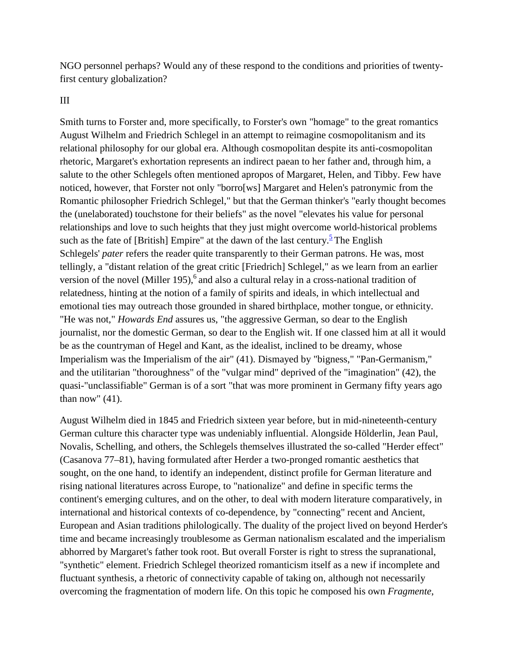NGO personnel perhaps? Would any of these respond to the conditions and priorities of twentyfirst century globalization?

III

Smith turns to Forster and, more specifically, to Forster's own "homage" to the great romantics August Wilhelm and Friedrich Schlegel in an attempt to reimagine cosmopolitanism and its relational philosophy for our global era. Although cosmopolitan despite its anti-cosmopolitan rhetoric, Margaret's exhortation represents an indirect paean to her father and, through him, a salute to the other Schlegels often mentioned apropos of Margaret, Helen, and Tibby. Few have noticed, however, that Forster not only "borro[ws] Margaret and Helen's patronymic from the Romantic philosopher Friedrich Schlegel," but that the German thinker's "early thought becomes the (unelaborated) touchstone for their beliefs" as the novel "elevates his value for personal relationships and love to such heights that they just might overcome world-historical problems such as the fate of [British] Empire" at the dawn of the last century.<sup>5</sup> The English Schlegels' *pater* refers the reader quite transparently to their German patrons. He was, most tellingly, a "distant relation of the great critic [Friedrich] Schlegel," as we learn from an earlier version of the novel (Miller 195),<sup>6</sup> and also a cultural relay in a cross-national tradition of relatedness, hinting at the notion of a family of spirits and ideals, in which intellectual and emotional ties may outreach those grounded in shared birthplace, mother tongue, or ethnicity. "He was not," *Howards End* assures us, "the aggressive German, so dear to the English journalist, nor the domestic German, so dear to the English wit. If one classed him at all it would be as the countryman of Hegel and Kant, as the idealist, inclined to be dreamy, whose Imperialism was the Imperialism of the air" (41). Dismayed by "bigness," "Pan-Germanism," and the utilitarian "thoroughness" of the "vulgar mind" deprived of the "imagination" (42), the quasi-"unclassifiable" German is of a sort "that was more prominent in Germany fifty years ago than now"  $(41)$ .

August Wilhelm died in 1845 and Friedrich sixteen year before, but in mid-nineteenth-century German culture this character type was undeniably influential. Alongside Hölderlin, Jean Paul, Novalis, Schelling, and others, the Schlegels themselves illustrated the so-called "Herder effect" (Casanova 77–81), having formulated after Herder a two-pronged romantic aesthetics that sought, on the one hand, to identify an independent, distinct profile for German literature and rising national literatures across Europe, to "nationalize" and define in specific terms the continent's emerging cultures, and on the other, to deal with modern literature comparatively, in international and historical contexts of co-dependence, by "connecting" recent and Ancient, European and Asian traditions philologically. The duality of the project lived on beyond Herder's time and became increasingly troublesome as German nationalism escalated and the imperialism abhorred by Margaret's father took root. But overall Forster is right to stress the supranational, "synthetic" element. Friedrich Schlegel theorized romanticism itself as a new if incomplete and fluctuant synthesis, a rhetoric of connectivity capable of taking on, although not necessarily overcoming the fragmentation of modern life. On this topic he composed his own *Fragmente*,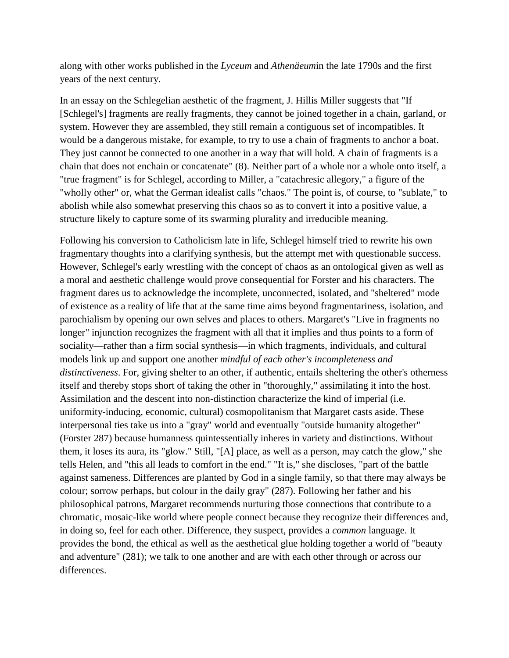along with other works published in the *Lyceum* and *Athenäeum*in the late 1790s and the first years of the next century.

In an essay on the Schlegelian aesthetic of the fragment, J. Hillis Miller suggests that "If [Schlegel's] fragments are really fragments, they cannot be joined together in a chain, garland, or system. However they are assembled, they still remain a contiguous set of incompatibles. It would be a dangerous mistake, for example, to try to use a chain of fragments to anchor a boat. They just cannot be connected to one another in a way that will hold. A chain of fragments is a chain that does not enchain or concatenate" (8). Neither part of a whole nor a whole onto itself, a "true fragment" is for Schlegel, according to Miller, a "catachresic allegory," a figure of the "wholly other" or, what the German idealist calls "chaos." The point is, of course, to "sublate," to abolish while also somewhat preserving this chaos so as to convert it into a positive value, a structure likely to capture some of its swarming plurality and irreducible meaning.

Following his conversion to Catholicism late in life, Schlegel himself tried to rewrite his own fragmentary thoughts into a clarifying synthesis, but the attempt met with questionable success. However, Schlegel's early wrestling with the concept of chaos as an ontological given as well as a moral and aesthetic challenge would prove consequential for Forster and his characters. The fragment dares us to acknowledge the incomplete, unconnected, isolated, and "sheltered" mode of existence as a reality of life that at the same time aims beyond fragmentariness, isolation, and parochialism by opening our own selves and places to others. Margaret's "Live in fragments no longer" injunction recognizes the fragment with all that it implies and thus points to a form of sociality—rather than a firm social synthesis—in which fragments, individuals, and cultural models link up and support one another *mindful of each other's incompleteness and distinctiveness*. For, giving shelter to an other, if authentic, entails sheltering the other's otherness itself and thereby stops short of taking the other in "thoroughly," assimilating it into the host. Assimilation and the descent into non-distinction characterize the kind of imperial (i.e. uniformity-inducing, economic, cultural) cosmopolitanism that Margaret casts aside. These interpersonal ties take us into a "gray" world and eventually "outside humanity altogether" (Forster 287) because humanness quintessentially inheres in variety and distinctions. Without them, it loses its aura, its "glow." Still, "[A] place, as well as a person, may catch the glow," she tells Helen, and "this all leads to comfort in the end." "It is," she discloses, "part of the battle against sameness. Differences are planted by God in a single family, so that there may always be colour; sorrow perhaps, but colour in the daily gray" (287). Following her father and his philosophical patrons, Margaret recommends nurturing those connections that contribute to a chromatic, mosaic-like world where people connect because they recognize their differences and, in doing so, feel for each other. Difference, they suspect, provides a *common* language. It provides the bond, the ethical as well as the aesthetical glue holding together a world of "beauty and adventure" (281); we talk to one another and are with each other through or across our differences.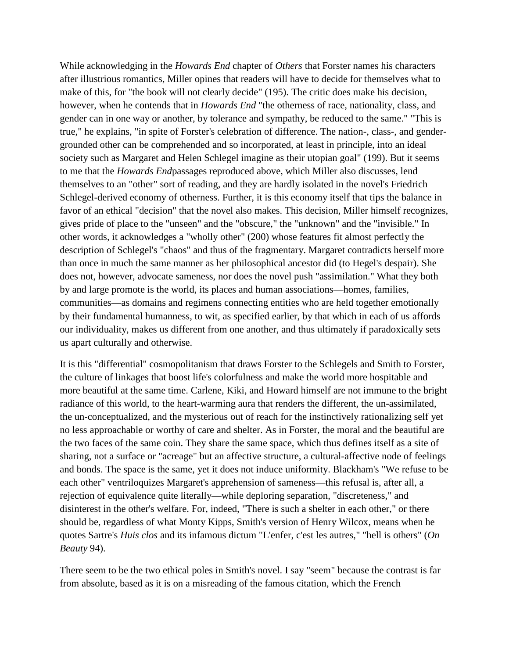While acknowledging in the *Howards End* chapter of *Others* that Forster names his characters after illustrious romantics, Miller opines that readers will have to decide for themselves what to make of this, for "the book will not clearly decide" (195). The critic does make his decision, however, when he contends that in *Howards End* "the otherness of race, nationality, class, and gender can in one way or another, by tolerance and sympathy, be reduced to the same." "This is true," he explains, "in spite of Forster's celebration of difference. The nation-, class-, and gendergrounded other can be comprehended and so incorporated, at least in principle, into an ideal society such as Margaret and Helen Schlegel imagine as their utopian goal" (199). But it seems to me that the *Howards End*passages reproduced above, which Miller also discusses, lend themselves to an "other" sort of reading, and they are hardly isolated in the novel's Friedrich Schlegel-derived economy of otherness. Further, it is this economy itself that tips the balance in favor of an ethical "decision" that the novel also makes. This decision, Miller himself recognizes, gives pride of place to the "unseen" and the "obscure," the "unknown" and the "invisible." In other words, it acknowledges a "wholly other" (200) whose features fit almost perfectly the description of Schlegel's "chaos" and thus of the fragmentary. Margaret contradicts herself more than once in much the same manner as her philosophical ancestor did (to Hegel's despair). She does not, however, advocate sameness, nor does the novel push "assimilation." What they both by and large promote is the world, its places and human associations—homes, families, communities—as domains and regimens connecting entities who are held together emotionally by their fundamental humanness, to wit, as specified earlier, by that which in each of us affords our individuality, makes us different from one another, and thus ultimately if paradoxically sets us apart culturally and otherwise.

It is this "differential" cosmopolitanism that draws Forster to the Schlegels and Smith to Forster, the culture of linkages that boost life's colorfulness and make the world more hospitable and more beautiful at the same time. Carlene, Kiki, and Howard himself are not immune to the bright radiance of this world, to the heart-warming aura that renders the different, the un-assimilated, the un-conceptualized, and the mysterious out of reach for the instinctively rationalizing self yet no less approachable or worthy of care and shelter. As in Forster, the moral and the beautiful are the two faces of the same coin. They share the same space, which thus defines itself as a site of sharing, not a surface or "acreage" but an affective structure, a cultural-affective node of feelings and bonds. The space is the same, yet it does not induce uniformity. Blackham's "We refuse to be each other" ventriloquizes Margaret's apprehension of sameness—this refusal is, after all, a rejection of equivalence quite literally—while deploring separation, "discreteness," and disinterest in the other's welfare. For, indeed, "There is such a shelter in each other," or there should be, regardless of what Monty Kipps, Smith's version of Henry Wilcox, means when he quotes Sartre's *Huis clos* and its infamous dictum "L'enfer, c'est les autres," "hell is others" (*On Beauty* 94).

There seem to be the two ethical poles in Smith's novel. I say "seem" because the contrast is far from absolute, based as it is on a misreading of the famous citation, which the French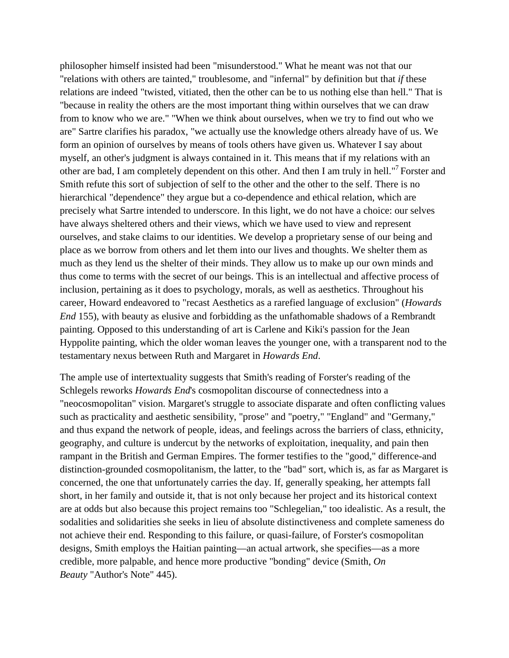philosopher himself insisted had been "misunderstood." What he meant was not that our "relations with others are tainted," troublesome, and "infernal" by definition but that *if* these relations are indeed "twisted, vitiated, then the other can be to us nothing else than hell." That is "because in reality the others are the most important thing within ourselves that we can draw from to know who we are." "When we think about ourselves, when we try to find out who we are" Sartre clarifies his paradox, "we actually use the knowledge others already have of us. We form an opinion of ourselves by means of tools others have given us. Whatever I say about myself, an other's judgment is always contained in it. This means that if my relations with an other are bad, I am completely dependent on this other. And then I am truly in hell."7 Forster and Smith refute this sort of subjection of self to the other and the other to the self. There is no hierarchical "dependence" they argue but a co-dependence and ethical relation, which are precisely what Sartre intended to underscore. In this light, we do not have a choice: our selves have always sheltered others and their views, which we have used to view and represent ourselves, and stake claims to our identities. We develop a proprietary sense of our being and place as we borrow from others and let them into our lives and thoughts. We shelter them as much as they lend us the shelter of their minds. They allow us to make up our own minds and thus come to terms with the secret of our beings. This is an intellectual and affective process of inclusion, pertaining as it does to psychology, morals, as well as aesthetics. Throughout his career, Howard endeavored to "recast Aesthetics as a rarefied language of exclusion" (*Howards End* 155), with beauty as elusive and forbidding as the unfathomable shadows of a Rembrandt painting. Opposed to this understanding of art is Carlene and Kiki's passion for the Jean Hyppolite painting, which the older woman leaves the younger one, with a transparent nod to the testamentary nexus between Ruth and Margaret in *Howards End*.

The ample use of intertextuality suggests that Smith's reading of Forster's reading of the Schlegels reworks *Howards End*'s cosmopolitan discourse of connectedness into a "neocosmopolitan" vision. Margaret's struggle to associate disparate and often conflicting values such as practicality and aesthetic sensibility, "prose" and "poetry," "England" and "Germany," and thus expand the network of people, ideas, and feelings across the barriers of class, ethnicity, geography, and culture is undercut by the networks of exploitation, inequality, and pain then rampant in the British and German Empires. The former testifies to the "good," difference-and distinction-grounded cosmopolitanism, the latter, to the "bad" sort, which is, as far as Margaret is concerned, the one that unfortunately carries the day. If, generally speaking, her attempts fall short, in her family and outside it, that is not only because her project and its historical context are at odds but also because this project remains too "Schlegelian," too idealistic. As a result, the sodalities and solidarities she seeks in lieu of absolute distinctiveness and complete sameness do not achieve their end. Responding to this failure, or quasi-failure, of Forster's cosmopolitan designs, Smith employs the Haitian painting—an actual artwork, she specifies—as a more credible, more palpable, and hence more productive "bonding" device (Smith, *On Beauty* "Author's Note" 445).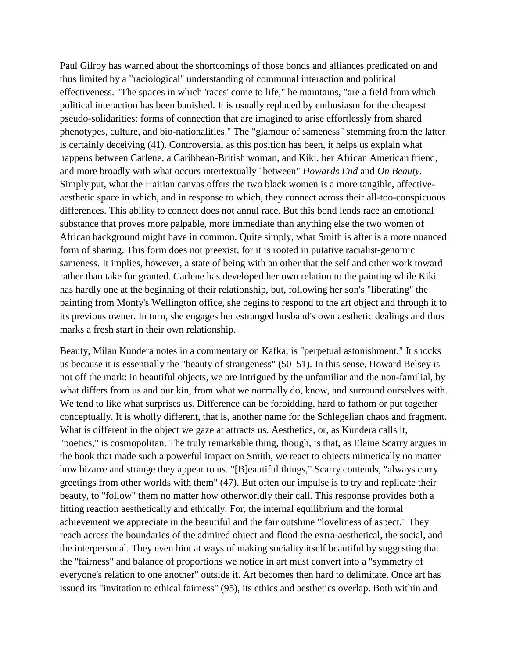Paul Gilroy has warned about the shortcomings of those bonds and alliances predicated on and thus limited by a "raciological" understanding of communal interaction and political effectiveness. "The spaces in which 'races' come to life," he maintains, "are a field from which political interaction has been banished. It is usually replaced by enthusiasm for the cheapest pseudo-solidarities: forms of connection that are imagined to arise effortlessly from shared phenotypes, culture, and bio-nationalities." The "glamour of sameness" stemming from the latter is certainly deceiving (41). Controversial as this position has been, it helps us explain what happens between Carlene, a Caribbean-British woman, and Kiki, her African American friend, and more broadly with what occurs intertextually "between" *Howards End* and *On Beauty*. Simply put, what the Haitian canvas offers the two black women is a more tangible, affectiveaesthetic space in which, and in response to which, they connect across their all-too-conspicuous differences. This ability to connect does not annul race. But this bond lends race an emotional substance that proves more palpable, more immediate than anything else the two women of African background might have in common. Quite simply, what Smith is after is a more nuanced form of sharing. This form does not preexist, for it is rooted in putative racialist-genomic sameness. It implies, however, a state of being with an other that the self and other work toward rather than take for granted. Carlene has developed her own relation to the painting while Kiki has hardly one at the beginning of their relationship, but, following her son's "liberating" the painting from Monty's Wellington office, she begins to respond to the art object and through it to its previous owner. In turn, she engages her estranged husband's own aesthetic dealings and thus marks a fresh start in their own relationship.

Beauty, Milan Kundera notes in a commentary on Kafka, is "perpetual astonishment." It shocks us because it is essentially the "beauty of strangeness" (50–51). In this sense, Howard Belsey is not off the mark: in beautiful objects, we are intrigued by the unfamiliar and the non-familial, by what differs from us and our kin, from what we normally do, know, and surround ourselves with. We tend to like what surprises us. Difference can be forbidding, hard to fathom or put together conceptually. It is wholly different, that is, another name for the Schlegelian chaos and fragment. What is different in the object we gaze at attracts us. Aesthetics, or, as Kundera calls it, "poetics," is cosmopolitan. The truly remarkable thing, though, is that, as Elaine Scarry argues in the book that made such a powerful impact on Smith, we react to objects mimetically no matter how bizarre and strange they appear to us. "[B]eautiful things," Scarry contends, "always carry greetings from other worlds with them" (47). But often our impulse is to try and replicate their beauty, to "follow" them no matter how otherworldly their call. This response provides both a fitting reaction aesthetically and ethically. For, the internal equilibrium and the formal achievement we appreciate in the beautiful and the fair outshine "loveliness of aspect." They reach across the boundaries of the admired object and flood the extra-aesthetical, the social, and the interpersonal. They even hint at ways of making sociality itself beautiful by suggesting that the "fairness" and balance of proportions we notice in art must convert into a "symmetry of everyone's relation to one another" outside it. Art becomes then hard to delimitate. Once art has issued its "invitation to ethical fairness" (95), its ethics and aesthetics overlap. Both within and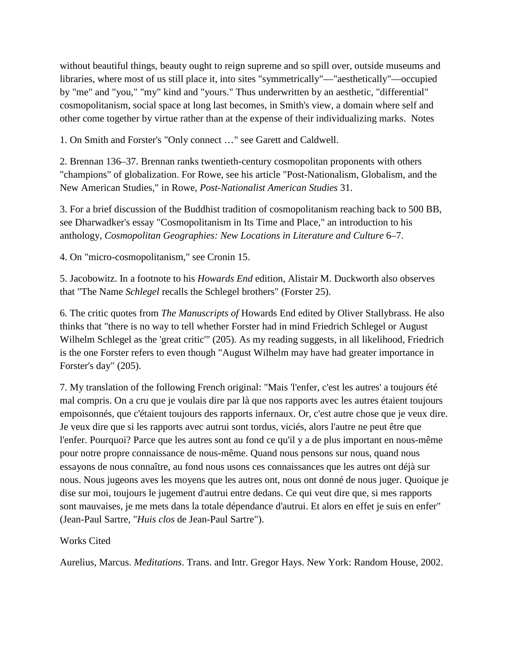without beautiful things, beauty ought to reign supreme and so spill over, outside museums and libraries, where most of us still place it, into sites "symmetrically"—"aesthetically"—occupied by "me" and "you," "my" kind and "yours." Thus underwritten by an aesthetic, "differential" cosmopolitanism, social space at long last becomes, in Smith's view, a domain where self and other come together by virtue rather than at the expense of their individualizing marks. Notes

1. On Smith and Forster's "Only connect …" see Garett and Caldwell.

2. Brennan 136–37. Brennan ranks twentieth-century cosmopolitan proponents with others "champions" of globalization. For Rowe, see his article "Post-Nationalism, Globalism, and the New American Studies," in Rowe, *Post-Nationalist American Studies* 31.

3. For a brief discussion of the Buddhist tradition of cosmopolitanism reaching back to 500 BB, see Dharwadker's essay "Cosmopolitanism in Its Time and Place," an introduction to his anthology, *Cosmopolitan Geographies: New Locations in Literature and Culture* 6–7.

4. On "micro-cosmopolitanism," see Cronin 15.

5. Jacobowitz. In a footnote to his *Howards End* edition, Alistair M. Duckworth also observes that "The Name *Schlegel* recalls the Schlegel brothers" (Forster 25).

6. The critic quotes from *The Manuscripts of* Howards End edited by Oliver Stallybrass. He also thinks that "there is no way to tell whether Forster had in mind Friedrich Schlegel or August Wilhelm Schlegel as the 'great critic'" (205). As my reading suggests, in all likelihood, Friedrich is the one Forster refers to even though "August Wilhelm may have had greater importance in Forster's day" (205).

7. My translation of the following French original: "Mais 'l'enfer, c'est les autres' a toujours été mal compris. On a cru que je voulais dire par là que nos rapports avec les autres étaient toujours empoisonnés, que c'étaient toujours des rapports infernaux. Or, c'est autre chose que je veux dire. Je veux dire que si les rapports avec autrui sont tordus, viciés, alors l'autre ne peut être que l'enfer. Pourquoi? Parce que les autres sont au fond ce qu'il y a de plus important en nous-même pour notre propre connaissance de nous-même. Quand nous pensons sur nous, quand nous essayons de nous connaître, au fond nous usons ces connaissances que les autres ont déjà sur nous. Nous jugeons aves les moyens que les autres ont, nous ont donné de nous juger. Quoique je dise sur moi, toujours le jugement d'autrui entre dedans. Ce qui veut dire que, si mes rapports sont mauvaises, je me mets dans la totale dépendance d'autrui. Et alors en effet je suis en enfer" (Jean-Paul Sartre, "*Huis clos* de Jean-Paul Sartre").

#### Works Cited

Aurelius, Marcus. *Meditations*. Trans. and Intr. Gregor Hays. New York: Random House, 2002.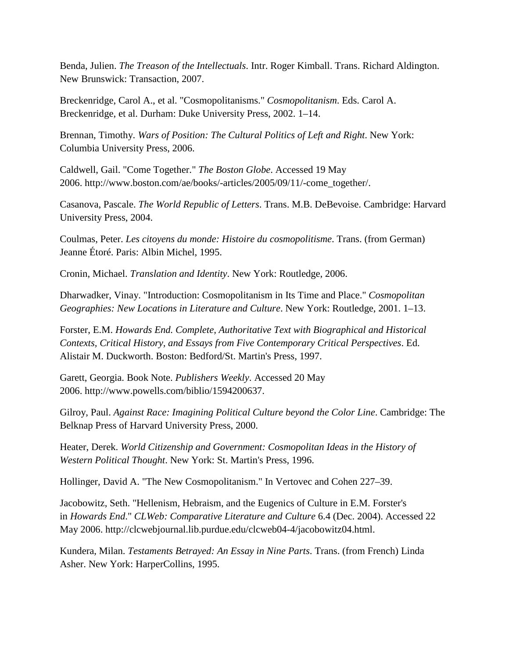Benda, Julien. *The Treason of the Intellectuals*. Intr. Roger Kimball. Trans. Richard Aldington. New Brunswick: Transaction, 2007.

Breckenridge, Carol A., et al. "Cosmopolitanisms." *Cosmopolitanism*. Eds. Carol A. Breckenridge, et al. Durham: Duke University Press, 2002. 1–14.

Brennan, Timothy. *Wars of Position: The Cultural Politics of Left and Right*. New York: Columbia University Press, 2006.

Caldwell, Gail. "Come Together." *The Boston Globe*. Accessed 19 May 2006. http://www.boston.com/ae/books/-articles/2005/09/11/-come\_together/.

Casanova, Pascale. *The World Republic of Letters*. Trans. M.B. DeBevoise. Cambridge: Harvard University Press, 2004.

Coulmas, Peter. *Les citoyens du monde: Histoire du cosmopolitisme*. Trans. (from German) Jeanne Étoré. Paris: Albin Michel, 1995.

Cronin, Michael. *Translation and Identity*. New York: Routledge, 2006.

Dharwadker, Vinay. "Introduction: Cosmopolitanism in Its Time and Place." *Cosmopolitan Geographies: New Locations in Literature and Culture*. New York: Routledge, 2001. 1–13.

Forster, E.M. *Howards End. Complete, Authoritative Text with Biographical and Historical Contexts, Critical History, and Essays from Five Contemporary Critical Perspectives*. Ed. Alistair M. Duckworth. Boston: Bedford/St. Martin's Press, 1997.

Garett, Georgia. Book Note. *Publishers Weekly*. Accessed 20 May 2006. http://www.powells.com/biblio/1594200637.

Gilroy, Paul. *Against Race: Imagining Political Culture beyond the Color Line*. Cambridge: The Belknap Press of Harvard University Press, 2000.

Heater, Derek. *World Citizenship and Government: Cosmopolitan Ideas in the History of Western Political Thought*. New York: St. Martin's Press, 1996.

Hollinger, David A. "The New Cosmopolitanism." In Vertovec and Cohen 227–39.

Jacobowitz, Seth. "Hellenism, Hebraism, and the Eugenics of Culture in E.M. Forster's in *Howards End*." *CLWeb: Comparative Literature and Culture* 6.4 (Dec. 2004). Accessed 22 May 2006. http://clcwebjournal.lib.purdue.edu/clcweb04-4/jacobowitz04.html.

Kundera, Milan. *Testaments Betrayed: An Essay in Nine Parts*. Trans. (from French) Linda Asher. New York: HarperCollins, 1995.